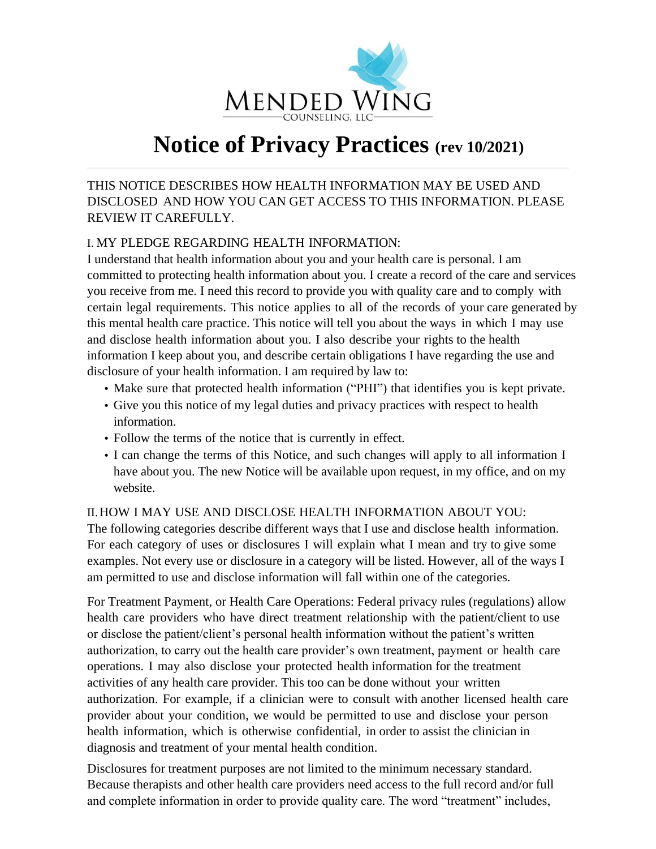

# **Notice of Privacy Practices (rev 10/2021)**

THIS NOTICE DESCRIBES HOW HEALTH INFORMATION MAY BE USED AND DISCLOSED AND HOW YOU CAN GET ACCESS TO THIS INFORMATION. PLEASE REVIEW IT CAREFULLY.

# I. MY PLEDGE REGARDING HEALTH INFORMATION:

I understand that health information about you and your health care is personal. I am committed to protecting health information about you. I create a record of the care and services you receive from me. I need this record to provide you with quality care and to comply with certain legal requirements. This notice applies to all of the records of your care generated by this mental health care practice. This notice will tell you about the ways in which I may use and disclose health information about you. I also describe your rights to the health information I keep about you, and describe certain obligations I have regarding the use and disclosure of your health information. I am required by law to:

- Make sure that protected health information ("PHI") that identifies you is kept private.
- Give you this notice of my legal duties and privacy practices with respect to health information.
- Follow the terms of the notice that is currently in effect.
- I can change the terms of this Notice, and such changes will apply to all information I have about you. The new Notice will be available upon request, in my office, and on my website.

## II.HOW I MAY USE AND DISCLOSE HEALTH INFORMATION ABOUT YOU:

The following categories describe different ways that I use and disclose health information. For each category of uses or disclosures I will explain what I mean and try to give some examples. Not every use or disclosure in a category will be listed. However, all of the ways I am permitted to use and disclose information will fall within one of the categories.

For Treatment Payment, or Health Care Operations: Federal privacy rules (regulations) allow health care providers who have direct treatment relationship with the patient/client to use or disclose the patient/client's personal health information without the patient's written authorization, to carry out the health care provider's own treatment, payment or health care operations. I may also disclose your protected health information for the treatment activities of any health care provider. This too can be done without your written authorization. For example, if a clinician were to consult with another licensed health care provider about your condition, we would be permitted to use and disclose your person health information, which is otherwise confidential, in order to assist the clinician in diagnosis and treatment of your mental health condition.

Disclosures for treatment purposes are not limited to the minimum necessary standard. Because therapists and other health care providers need access to the full record and/or full and complete information in order to provide quality care. The word "treatment" includes,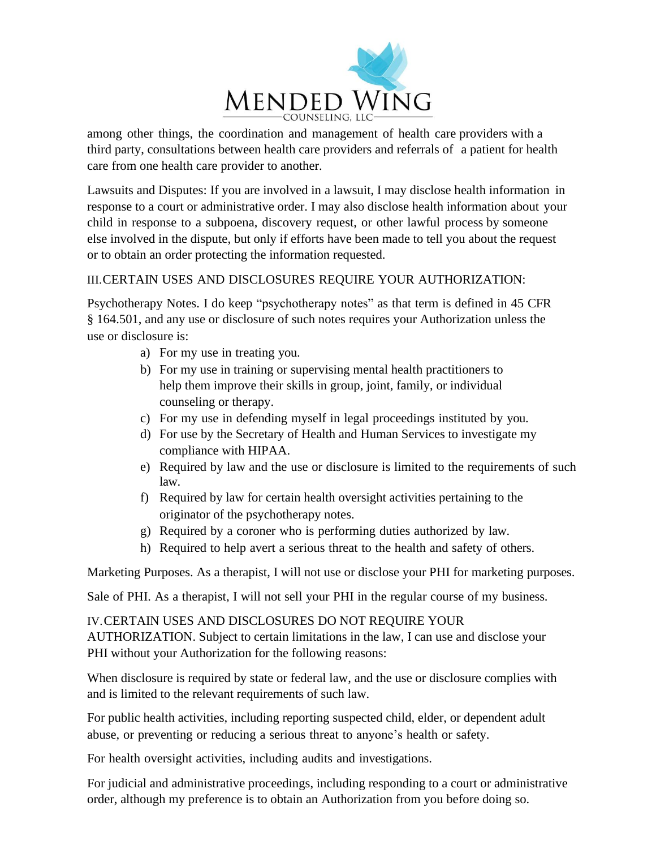

third party, consultations between health care providers and referrals of a patient for health care from one health care provider to another.

Lawsuits and Disputes: If you are involved in a lawsuit, I may disclose health information in response to a court or administrative order. I may also disclose health information about your child in response to a subpoena, discovery request, or other lawful process by someone else involved in the dispute, but only if efforts have been made to tell you about the request or to obtain an order protecting the information requested.

## III.CERTAIN USES AND DISCLOSURES REQUIRE YOUR AUTHORIZATION:

Psychotherapy Notes. I do keep "psychotherapy notes" as that term is defined in 45 CFR § 164.501, and any use or disclosure of such notes requires your Authorization unless the use or disclosure is:

- a) For my use in treating you.
- b) For my use in training or supervising mental health practitioners to help them improve their skills in group, joint, family, or individual counseling or therapy.
- c) For my use in defending myself in legal proceedings instituted by you.
- d) For use by the Secretary of Health and Human Services to investigate my compliance with HIPAA.
- e) Required by law and the use or disclosure is limited to the requirements of such law.
- f) Required by law for certain health oversight activities pertaining to the originator of the psychotherapy notes.
- g) Required by a coroner who is performing duties authorized by law.
- h) Required to help avert a serious threat to the health and safety of others.

Marketing Purposes. As a therapist, I will not use or disclose your PHI for marketing purposes.

Sale of PHI. As a therapist, I will not sell your PHI in the regular course of my business.

IV.CERTAIN USES AND DISCLOSURES DO NOT REQUIRE YOUR AUTHORIZATION. Subject to certain limitations in the law, I can use and disclose your PHI without your Authorization for the following reasons:

When disclosure is required by state or federal law, and the use or disclosure complies with and is limited to the relevant requirements of such law.

For public health activities, including reporting suspected child, elder, or dependent adult abuse, or preventing or reducing a serious threat to anyone's health or safety.

For health oversight activities, including audits and investigations.

For judicial and administrative proceedings, including responding to a court or administrative order, although my preference is to obtain an Authorization from you before doing so.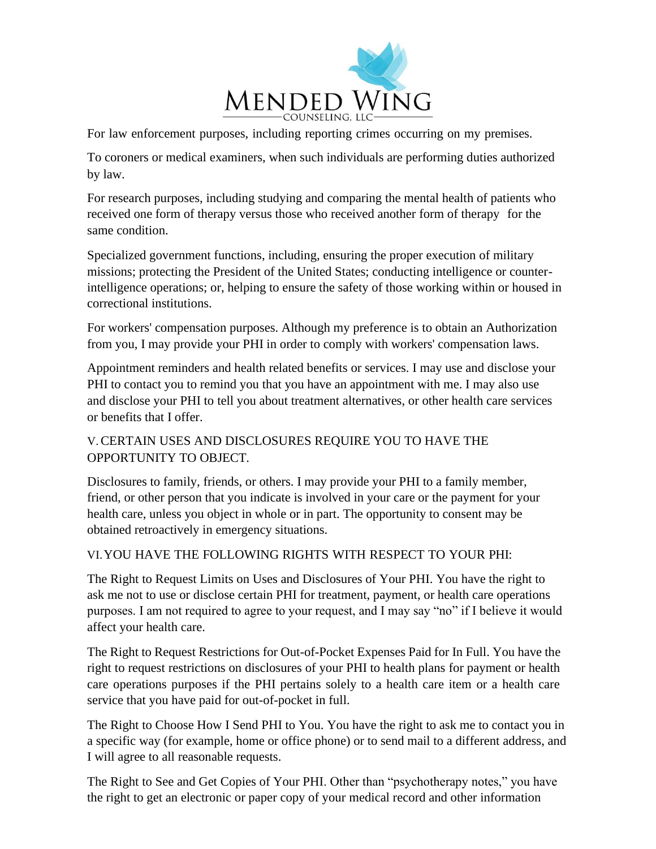

For law enforcement purposes, including reporting crimes occurring on my premises.

To coroners or medical examiners, when such individuals are performing duties authorized by law.

For research purposes, including studying and comparing the mental health of patients who received one form of therapy versus those who received another form of therapy for the same condition.

Specialized government functions, including, ensuring the proper execution of military missions; protecting the President of the United States; conducting intelligence or counterintelligence operations; or, helping to ensure the safety of those working within or housed in correctional institutions.

For workers' compensation purposes. Although my preference is to obtain an Authorization from you, I may provide your PHI in order to comply with workers' compensation laws.

Appointment reminders and health related benefits or services. I may use and disclose your PHI to contact you to remind you that you have an appointment with me. I may also use and disclose your PHI to tell you about treatment alternatives, or other health care services or benefits that I offer.

# V.CERTAIN USES AND DISCLOSURES REQUIRE YOU TO HAVE THE OPPORTUNITY TO OBJECT.

Disclosures to family, friends, or others. I may provide your PHI to a family member, friend, or other person that you indicate is involved in your care or the payment for your health care, unless you object in whole or in part. The opportunity to consent may be obtained retroactively in emergency situations.

## VI.YOU HAVE THE FOLLOWING RIGHTS WITH RESPECT TO YOUR PHI:

The Right to Request Limits on Uses and Disclosures of Your PHI. You have the right to ask me not to use or disclose certain PHI for treatment, payment, or health care operations purposes. I am not required to agree to your request, and I may say "no" if I believe it would affect your health care.

The Right to Request Restrictions for Out-of-Pocket Expenses Paid for In Full. You have the right to request restrictions on disclosures of your PHI to health plans for payment or health care operations purposes if the PHI pertains solely to a health care item or a health care service that you have paid for out-of-pocket in full.

The Right to Choose How I Send PHI to You. You have the right to ask me to contact you in a specific way (for example, home or office phone) or to send mail to a different address, and I will agree to all reasonable requests.

The Right to See and Get Copies of Your PHI. Other than "psychotherapy notes," you have the right to get an electronic or paper copy of your medical record and other information